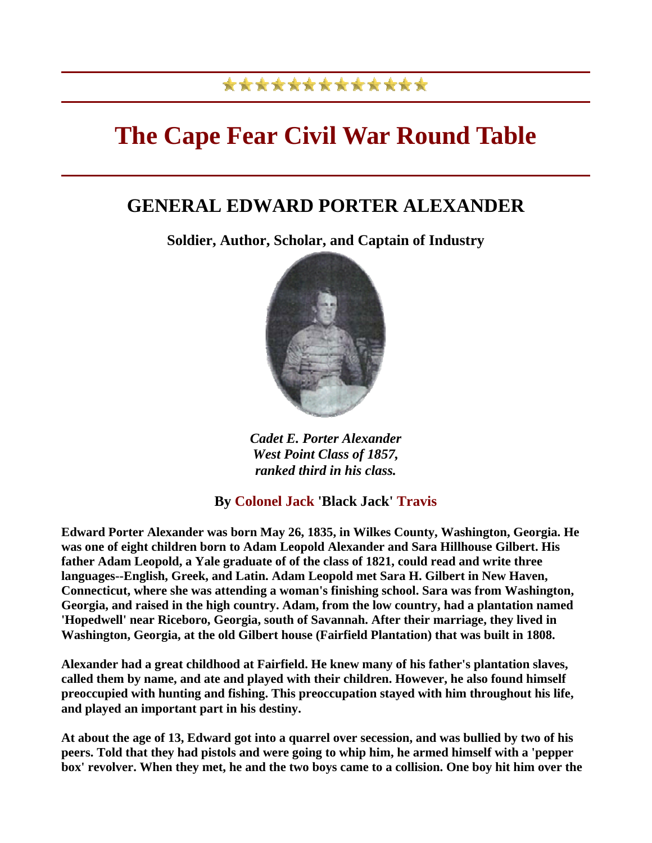# \*\*\*\*\*\*\*\*\*\*\*\*\*

# **The Cape Fear Civil War Round Table**

# **GENERAL EDWARD PORTER ALEXANDER**

**Soldier, Author, Scholar, and Captain of Industry** 



*Cadet E. Porter Alexander West Point Class of 1857, ranked third in his class.* 

# **By Colonel Jack 'Black Jack' Travis**

**Edward Porter Alexander was born May 26, 1835, in Wilkes County, Washington, Georgia. He was one of eight children born to Adam Leopold Alexander and Sara Hillhouse Gilbert. His father Adam Leopold, a Yale graduate of of the class of 1821, could read and write three languages--English, Greek, and Latin. Adam Leopold met Sara H. Gilbert in New Haven, Connecticut, where she was attending a woman's finishing school. Sara was from Washington, Georgia, and raised in the high country. Adam, from the low country, had a plantation named 'Hopedwell' near Riceboro, Georgia, south of Savannah. After their marriage, they lived in Washington, Georgia, at the old Gilbert house (Fairfield Plantation) that was built in 1808.**

**Alexander had a great childhood at Fairfield. He knew many of his father's plantation slaves, called them by name, and ate and played with their children. However, he also found himself preoccupied with hunting and fishing. This preoccupation stayed with him throughout his life, and played an important part in his destiny.**

**At about the age of 13, Edward got into a quarrel over secession, and was bullied by two of his peers. Told that they had pistols and were going to whip him, he armed himself with a 'pepper box' revolver. When they met, he and the two boys came to a collision. One boy hit him over the**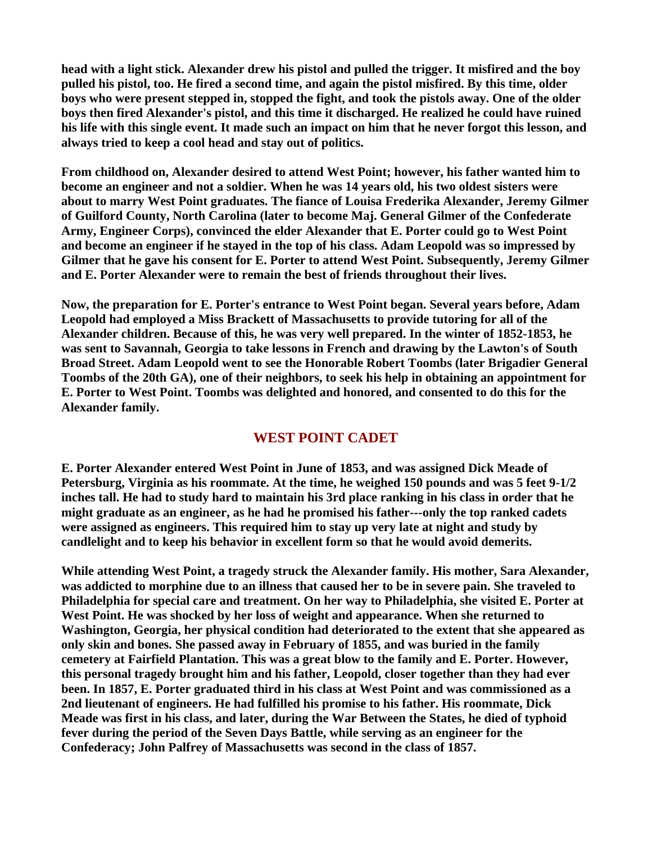**head with a light stick. Alexander drew his pistol and pulled the trigger. It misfired and the boy pulled his pistol, too. He fired a second time, and again the pistol misfired. By this time, older boys who were present stepped in, stopped the fight, and took the pistols away. One of the older boys then fired Alexander's pistol, and this time it discharged. He realized he could have ruined his life with this single event. It made such an impact on him that he never forgot this lesson, and always tried to keep a cool head and stay out of politics.**

**From childhood on, Alexander desired to attend West Point; however, his father wanted him to become an engineer and not a soldier. When he was 14 years old, his two oldest sisters were about to marry West Point graduates. The fiance of Louisa Frederika Alexander, Jeremy Gilmer of Guilford County, North Carolina (later to become Maj. General Gilmer of the Confederate Army, Engineer Corps), convinced the elder Alexander that E. Porter could go to West Point and become an engineer if he stayed in the top of his class. Adam Leopold was so impressed by Gilmer that he gave his consent for E. Porter to attend West Point. Subsequently, Jeremy Gilmer and E. Porter Alexander were to remain the best of friends throughout their lives.**

**Now, the preparation for E. Porter's entrance to West Point began. Several years before, Adam Leopold had employed a Miss Brackett of Massachusetts to provide tutoring for all of the Alexander children. Because of this, he was very well prepared. In the winter of 1852-1853, he was sent to Savannah, Georgia to take lessons in French and drawing by the Lawton's of South Broad Street. Adam Leopold went to see the Honorable Robert Toombs (later Brigadier General Toombs of the 20th GA), one of their neighbors, to seek his help in obtaining an appointment for E. Porter to West Point. Toombs was delighted and honored, and consented to do this for the Alexander family.**

## **WEST POINT CADET**

**E. Porter Alexander entered West Point in June of 1853, and was assigned Dick Meade of Petersburg, Virginia as his roommate. At the time, he weighed 150 pounds and was 5 feet 9-1/2 inches tall. He had to study hard to maintain his 3rd place ranking in his class in order that he might graduate as an engineer, as he had he promised his father---only the top ranked cadets were assigned as engineers. This required him to stay up very late at night and study by candlelight and to keep his behavior in excellent form so that he would avoid demerits.**

**While attending West Point, a tragedy struck the Alexander family. His mother, Sara Alexander, was addicted to morphine due to an illness that caused her to be in severe pain. She traveled to Philadelphia for special care and treatment. On her way to Philadelphia, she visited E. Porter at West Point. He was shocked by her loss of weight and appearance. When she returned to Washington, Georgia, her physical condition had deteriorated to the extent that she appeared as only skin and bones. She passed away in February of 1855, and was buried in the family cemetery at Fairfield Plantation. This was a great blow to the family and E. Porter. However, this personal tragedy brought him and his father, Leopold, closer together than they had ever been. In 1857, E. Porter graduated third in his class at West Point and was commissioned as a 2nd lieutenant of engineers. He had fulfilled his promise to his father. His roommate, Dick Meade was first in his class, and later, during the War Between the States, he died of typhoid fever during the period of the Seven Days Battle, while serving as an engineer for the Confederacy; John Palfrey of Massachusetts was second in the class of 1857.**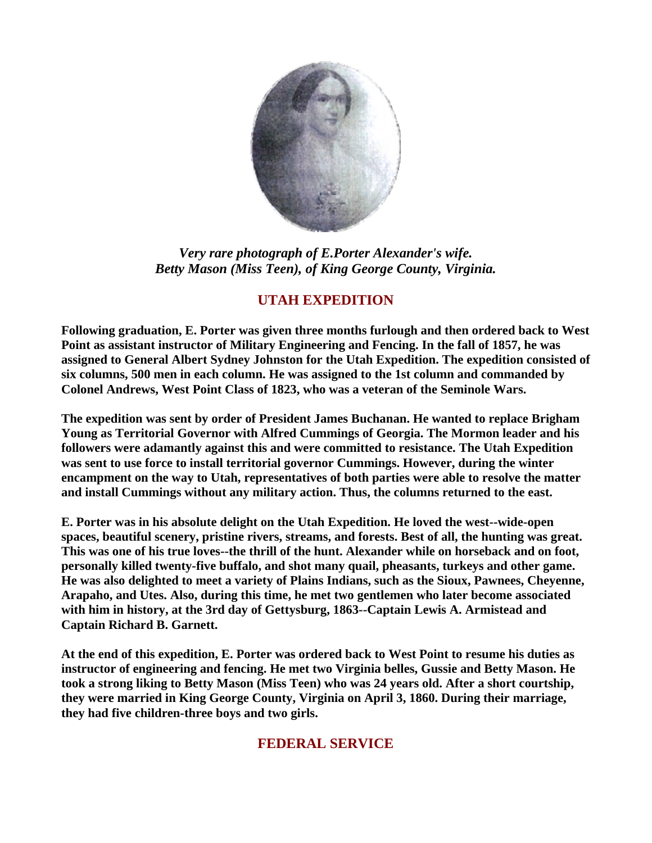

*Very rare photograph of E.Porter Alexander's wife. Betty Mason (Miss Teen), of King George County, Virginia.* 

# **UTAH EXPEDITION**

**Following graduation, E. Porter was given three months furlough and then ordered back to West Point as assistant instructor of Military Engineering and Fencing. In the fall of 1857, he was assigned to General Albert Sydney Johnston for the Utah Expedition. The expedition consisted of six columns, 500 men in each column. He was assigned to the 1st column and commanded by Colonel Andrews, West Point Class of 1823, who was a veteran of the Seminole Wars.**

**The expedition was sent by order of President James Buchanan. He wanted to replace Brigham Young as Territorial Governor with Alfred Cummings of Georgia. The Mormon leader and his followers were adamantly against this and were committed to resistance. The Utah Expedition was sent to use force to install territorial governor Cummings. However, during the winter encampment on the way to Utah, representatives of both parties were able to resolve the matter and install Cummings without any military action. Thus, the columns returned to the east.**

**E. Porter was in his absolute delight on the Utah Expedition. He loved the west--wide-open spaces, beautiful scenery, pristine rivers, streams, and forests. Best of all, the hunting was great. This was one of his true loves--the thrill of the hunt. Alexander while on horseback and on foot, personally killed twenty-five buffalo, and shot many quail, pheasants, turkeys and other game. He was also delighted to meet a variety of Plains Indians, such as the Sioux, Pawnees, Cheyenne, Arapaho, and Utes. Also, during this time, he met two gentlemen who later become associated with him in history, at the 3rd day of Gettysburg, 1863--Captain Lewis A. Armistead and Captain Richard B. Garnett.**

**At the end of this expedition, E. Porter was ordered back to West Point to resume his duties as instructor of engineering and fencing. He met two Virginia belles, Gussie and Betty Mason. He took a strong liking to Betty Mason (Miss Teen) who was 24 years old. After a short courtship, they were married in King George County, Virginia on April 3, 1860. During their marriage, they had five children-three boys and two girls.**

# **FEDERAL SERVICE**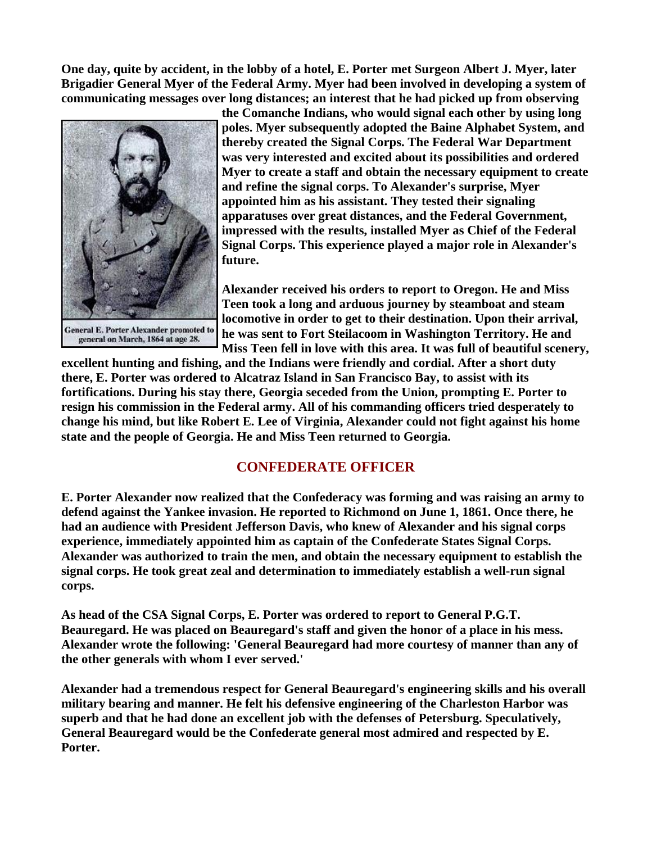**One day, quite by accident, in the lobby of a hotel, E. Porter met Surgeon Albert J. Myer, later Brigadier General Myer of the Federal Army. Myer had been involved in developing a system of communicating messages over long distances; an interest that he had picked up from observing** 



**General E. Porter Alexander promoted to** general on March, 1864 at age 28.

**the Comanche Indians, who would signal each other by using long poles. Myer subsequently adopted the Baine Alphabet System, and thereby created the Signal Corps. The Federal War Department was very interested and excited about its possibilities and ordered Myer to create a staff and obtain the necessary equipment to create and refine the signal corps. To Alexander's surprise, Myer appointed him as his assistant. They tested their signaling apparatuses over great distances, and the Federal Government, impressed with the results, installed Myer as Chief of the Federal Signal Corps. This experience played a major role in Alexander's future.** 

**Alexander received his orders to report to Oregon. He and Miss Teen took a long and arduous journey by steamboat and steam locomotive in order to get to their destination. Upon their arrival, he was sent to Fort Steilacoom in Washington Territory. He and Miss Teen fell in love with this area. It was full of beautiful s cenery,** 

**excellent hunting and fishing, and the Indians were friendly and cordial. After a short duty there, E. Porter was ordered to Alcatraz Island in San Francisco Bay, to assist with its fortifications. During his stay there, Georgia seceded from the Union, prompting E. Porter to resign his commission in the Federal army. All of his commanding officers tried desperately to change his mind, but like Robert E. Lee of Virginia, Alexander could not fight against his home state and the people of Georgia. He and Miss Teen returned to Georgia.** 

## **CONFEDERATE OFFICER**

**E. Porter Alexander now realized that the Confederacy was forming and was raising an army to defend against the Yankee invasion. He reported to Richmond on June 1, 1861. Once there, he had an audience with President Jefferson Davis, who knew of Alexander and his signal corps experience, immediately appointed him as captain of the Confederate States Signal Corps. Alexander was authorized to train the men, and obtain the necessary equipment to establish the signal corps. He took great zeal and determination to immediately establish a well-run signal corps.** 

**As head of the CSA Signal Corps, E. Porter was ordered to report to General P.G.T. Beauregard. He was placed on Beauregard's staff and given the honor of a place in his mess. Alexander wrote the following: 'General Beauregard had more courtesy of manner than any of the other generals with whom I ever served.'** 

**Alexander had a tremendous respect for General Beauregard's engineering skills and his overall military bearing and manner. He felt his defensive engineering of the Charleston Harbor was superb and that he had done an excellent job with the defenses of Petersburg. Speculatively, General Beauregard would be the Confederate general most admired and respected by E. Porter.**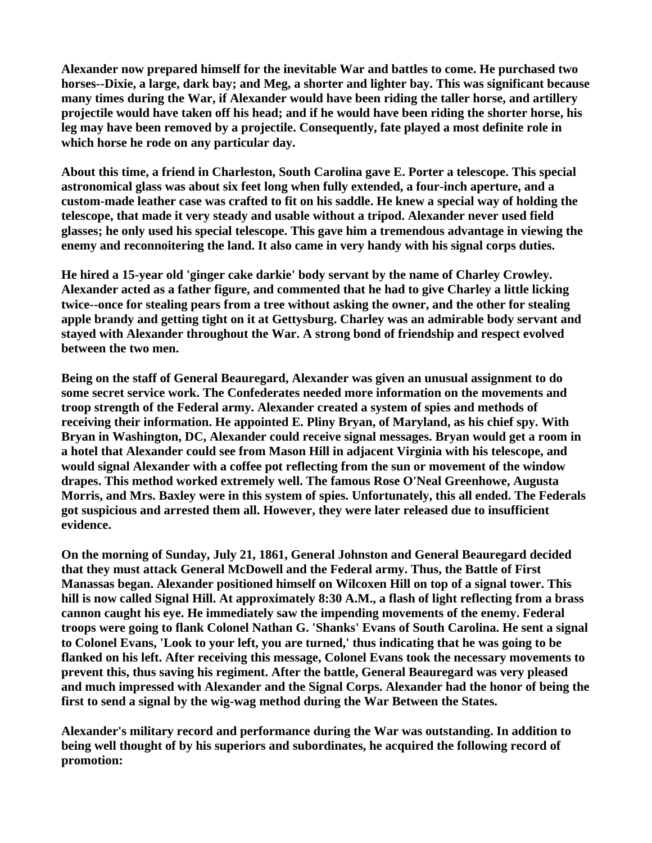**Alexander now prepared himself for the inevitable War and battles to come. He purchased two horses--Dixie, a large, dark bay; and Meg, a shorter and lighter bay. This was significant because many times during the War, if Alexander would have been riding the taller horse, and artillery projectile would have taken off his head; and if he would have been riding the shorter horse, his leg may have been removed by a projectile. Consequently, fate played a most definite role in which horse he rode on any particular day.** 

**About this time, a friend in Charleston, South Carolina gave E. Porter a telescope. This special astronomical glass was about six feet long when fully extended, a four-inch aperture, and a custom-made leather case was crafted to fit on his saddle. He knew a special way of holding the telescope, that made it very steady and usable without a tripod. Alexander never used field glasses; he only used his special telescope. This gave him a tremendous advantage in viewing the enemy and reconnoitering the land. It also came in very handy with his signal corps duties.** 

**He hired a 15-year old 'ginger cake darkie' body servant by the name of Charley Crowley. Alexander acted as a father figure, and commented that he had to give Charley a little licking twice--once for stealing pears from a tree without asking the owner, and the other for stealing apple brandy and getting tight on it at Gettysburg. Charley was an admirable body servant and stayed with Alexander throughout the War. A strong bond of friendship and respect evolved between the two men.** 

**Being on the staff of General Beauregard, Alexander was given an unusual assignment to do some secret service work. The Confederates needed more information on the movements and troop strength of the Federal army. Alexander created a system of spies and methods of receiving their information. He appointed E. Pliny Bryan, of Maryland, as his chief spy. With Bryan in Washington, DC, Alexander could receive signal messages. Bryan would get a room in a hotel that Alexander could see from Mason Hill in adjacent Virginia with his telescope, and would signal Alexander with a coffee pot reflecting from the sun or movement of the window drapes. This method worked extremely well. The famous Rose O'Neal Greenhowe, Augusta Morris, and Mrs. Baxley were in this system of spies. Unfortunately, this all ended. The Federals got suspicious and arrested them all. However, they were later released due to insufficient evidence.** 

**On the morning of Sunday, July 21, 1861, General Johnston and General Beauregard decided that they must attack General McDowell and the Federal army. Thus, the Battle of First Manassas began. Alexander positioned himself on Wilcoxen Hill on top of a signal tower. This hill is now called Signal Hill. At approximately 8:30 A.M., a flash of light reflecting from a brass cannon caught his eye. He immediately saw the impending movements of the enemy. Federal troops were going to flank Colonel Nathan G. 'Shanks' Evans of South Carolina. He sent a signal to Colonel Evans, 'Look to your left, you are turned,' thus indicating that he was going to be flanked on his left. After receiving this message, Colonel Evans took the necessary movements to prevent this, thus saving his regiment. After the battle, General Beauregard was very pleased and much impressed with Alexander and the Signal Corps. Alexander had the honor of being the first to send a signal by the wig-wag method during the War Between the States.** 

**Alexander's military record and performance during the War was outstanding. In addition to being well thought of by his superiors and subordinates, he acquired the following record of promotion:**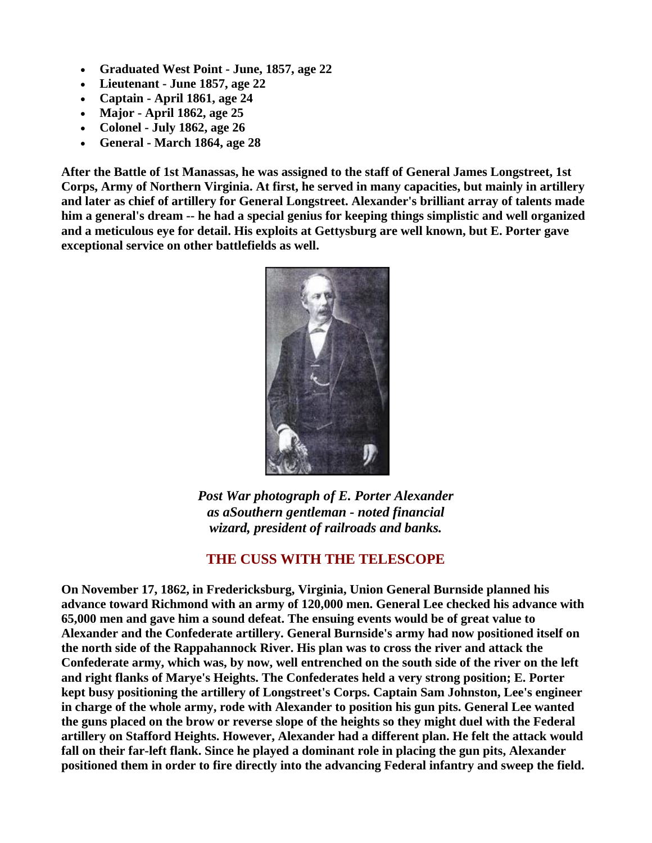- **Graduated West Point June, 1857, age 22**
- **Lieutenant June 1857, age 22**
- **Captain April 1861, age 24**
- **Major April 1862, age 25**
- **Colonel July 1862, age 26**
- **General March 1864, age 28**

**After the Battle of 1st Manassas, he was assigned to the staff of General James Longstreet, 1st Corps, Army of Northern Virginia. At first, he served in many capacities, but mainly in artillery and later as chief of artillery for General Longstreet. Alexander's brilliant array of talents made him a general's dream -- he had a special genius for keeping things simplistic and well organized and a meticulous eye for detail. His exploits at Gettysburg are well known, but E. Porter gave exceptional service on other battlefields as well.** 



*Post War photograph of E. Porter Alexander as aSouthern gentleman - noted financial wizard, president of railroads and banks.* 

## **THE CUSS WITH THE TELESCOPE**

**On November 17, 1862, in Fredericksburg, Virginia, Union General Burnside planned his advance toward Richmond with an army of 120,000 men. General Lee checked his advance with 65,000 men and gave him a sound defeat. The ensuing events would be of great value to Alexander and the Confederate artillery. General Burnside's army had now positioned itself on the north side of the Rappahannock River. His plan was to cross the river and attack the Confederate army, which was, by now, well entrenched on the south side of the river on the left and right flanks of Marye's Heights. The Confederates held a very strong position; E. Porter kept busy positioning the artillery of Longstreet's Corps. Captain Sam Johnston, Lee's engineer in charge of the whole army, rode with Alexander to position his gun pits. General Lee wanted the guns placed on the brow or reverse slope of the heights so they might duel with the Federal artillery on Stafford Heights. However, Alexander had a different plan. He felt the attack would fall on their far-left flank. Since he played a dominant role in placing the gun pits, Alexander positioned them in order to fire directly into the advancing Federal infantry and sweep the field.**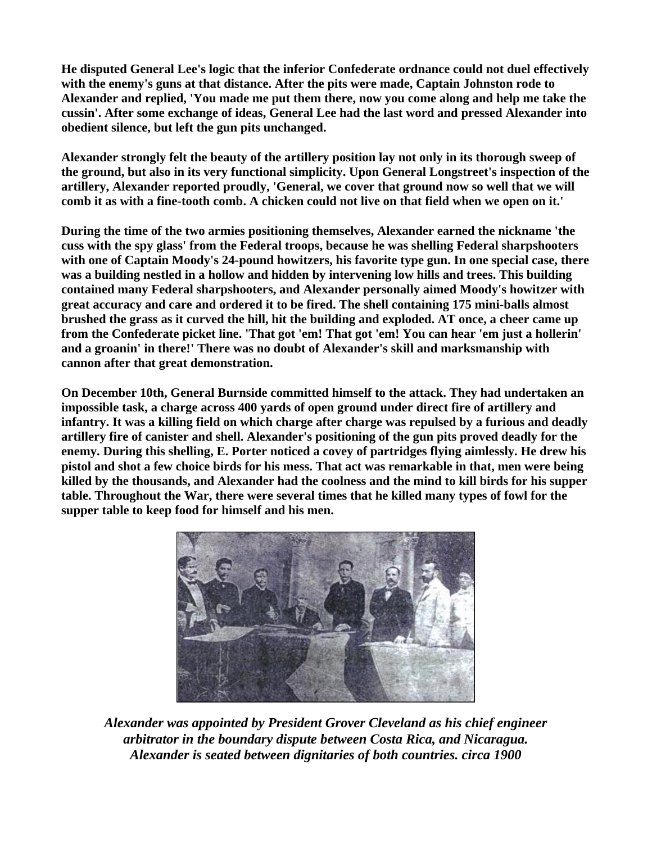**He disputed General Lee's logic that the inferior Confederate ordnance could not duel effectively with the enemy's guns at that distance. After the pits were made, Captain Johnston rode to Alexander and replied, 'You made me put them there, now you come along and help me take the cussin'. After some exchange of ideas, General Lee had the last word and pressed Alexander into obedient silence, but left the gun pits unchanged.** 

**Alexander strongly felt the beauty of the artillery position lay not only in its thorough sweep of the ground, but also in its very functional simplicity. Upon General Longstreet's inspection of the artillery, Alexander reported proudly, 'General, we cover that ground now so well that we will comb it as with a fine-tooth comb. A chicken could not live on that field when we open on it.'** 

**During the time of the two armies positioning themselves, Alexander earned the nickname 'the cuss with the spy glass' from the Federal troops, because he was shelling Federal sharpshooters with one of Captain Moody's 24-pound howitzers, his favorite type gun. In one special case, there was a building nestled in a hollow and hidden by intervening low hills and trees. This building contained many Federal sharpshooters, and Alexander personally aimed Moody's howitzer with great accuracy and care and ordered it to be fired. The shell containing 175 mini-balls almost brushed the grass as it curved the hill, hit the building and exploded. AT once, a cheer came up from the Confederate picket line. 'That got 'em! That got 'em! You can hear 'em just a hollerin' and a groanin' in there!' There was no doubt of Alexander's skill and marksmanship with cannon after that great demonstration.** 

**On December 10th, General Burnside committed himself to the attack. They had undertaken an impossible task, a charge across 400 yards of open ground under direct fire of artillery and infantry. It was a killing field on which charge after charge was repulsed by a furious and deadly artillery fire of canister and shell. Alexander's positioning of the gun pits proved deadly for the enemy. During this shelling, E. Porter noticed a covey of partridges flying aimlessly. He drew his pistol and shot a few choice birds for his mess. That act was remarkable in that, men were being killed by the thousands, and Alexander had the coolness and the mind to kill birds for his supper table. Throughout the War, there were several times that he killed many types of fowl for the supper table to keep food for himself and his men.** 



*Alexander was appointed by President Grover Cleveland as his chief engineer arbitrator in the boundary dispute between Costa Rica, and Nicaragua. Alexander is seated between dignitaries of both countries. circa 1900*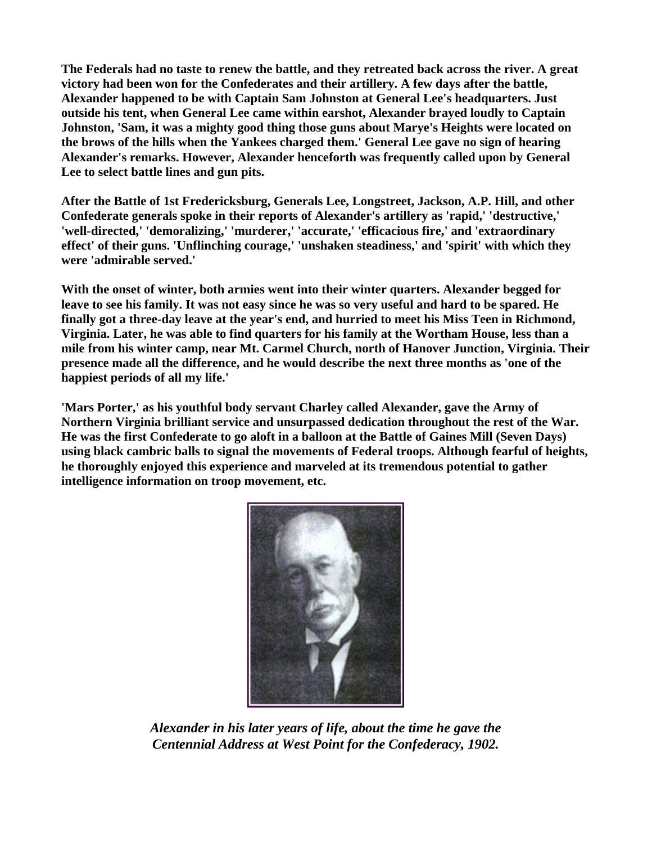**The Federals had no taste to renew the battle, and they retreated back across the river. A great victory had been won for the Confederates and their artillery. A few days after the battle, Alexander happened to be with Captain Sam Johnston at General Lee's headquarters. Just outside his tent, when General Lee came within earshot, Alexander brayed loudly to Captain Johnston, 'Sam, it was a mighty good thing those guns about Marye's Heights were located on the brows of the hills when the Yankees charged them.' General Lee gave no sign of hearing Alexander's remarks. However, Alexander henceforth was frequently called upon by General Lee to select battle lines and gun pits.** 

**After the Battle of 1st Fredericksburg, Generals Lee, Longstreet, Jackson, A.P. Hill, and other Confederate generals spoke in their reports of Alexander's artillery as 'rapid,' 'destructive,' 'well-directed,' 'demoralizing,' 'murderer,' 'accurate,' 'efficacious fire,' and 'extraordinary effect' of their guns. 'Unflinching courage,' 'unshaken steadiness,' and 'spirit' with which they were 'admirable served.'** 

**With the onset of winter, both armies went into their winter quarters. Alexander begged for leave to see his family. It was not easy since he was so very useful and hard to be spared. He finally got a three-day leave at the year's end, and hurried to meet his Miss Teen in Richmond, Virginia. Later, he was able to find quarters for his family at the Wortham House, less than a mile from his winter camp, near Mt. Carmel Church, north of Hanover Junction, Virginia. Their presence made all the difference, and he would describe the next three months as 'one of the happiest periods of all my life.'** 

**'Mars Porter,' as his youthful body servant Charley called Alexander, gave the Army of Northern Virginia brilliant service and unsurpassed dedication throughout the rest of the War. He was the first Confederate to go aloft in a balloon at the Battle of Gaines Mill (Seven Days) using black cambric balls to signal the movements of Federal troops. Although fearful of heights, he thoroughly enjoyed this experience and marveled at its tremendous potential to gather intelligence information on troop movement, etc.** 



*Alexander in his later years of life, about the time he gave the Centennial Address at West Point for the Confederacy, 1902.*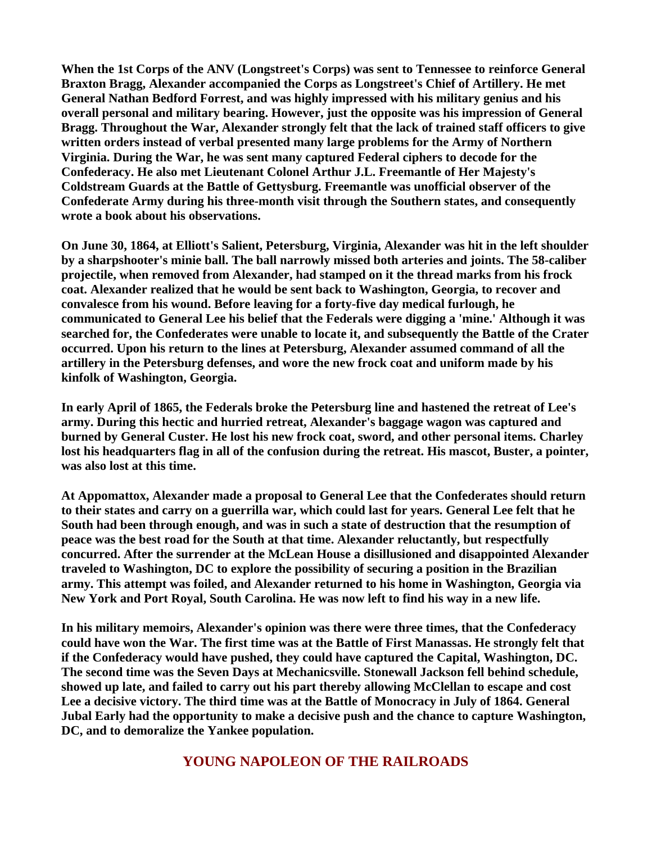**When the 1st Corps of the ANV (Longstreet's Corps) was sent to Tennessee to reinforce General Braxton Bragg, Alexander accompanied the Corps as Longstreet's Chief of Artillery. He met General Nathan Bedford Forrest, and was highly impressed with his military genius and his overall personal and military bearing. However, just the opposite was his impression of General Bragg. Throughout the War, Alexander strongly felt that the lack of trained staff officers to give written orders instead of verbal presented many large problems for the Army of Northern Virginia. During the War, he was sent many captured Federal ciphers to decode for the Confederacy. He also met Lieutenant Colonel Arthur J.L. Freemantle of Her Majesty's Coldstream Guards at the Battle of Gettysburg. Freemantle was unofficial observer of the Confederate Army during his three-month visit through the Southern states, and consequently wrote a book about his observations.** 

**On June 30, 1864, at Elliott's Salient, Petersburg, Virginia, Alexander was hit in the left shoulder by a sharpshooter's minie ball. The ball narrowly missed both arteries and joints. The 58-caliber projectile, when removed from Alexander, had stamped on it the thread marks from his frock coat. Alexander realized that he would be sent back to Washington, Georgia, to recover and convalesce from his wound. Before leaving for a forty-five day medical furlough, he communicated to General Lee his belief that the Federals were digging a 'mine.' Although it was searched for, the Confederates were unable to locate it, and subsequently the Battle of the Crater occurred. Upon his return to the lines at Petersburg, Alexander assumed command of all the artillery in the Petersburg defenses, and wore the new frock coat and uniform made by his kinfolk of Washington, Georgia.** 

**In early April of 1865, the Federals broke the Petersburg line and hastened the retreat of Lee's army. During this hectic and hurried retreat, Alexander's baggage wagon was captured and burned by General Custer. He lost his new frock coat, sword, and other personal items. Charley lost his headquarters flag in all of the confusion during the retreat. His mascot, Buster, a pointer, was also lost at this time.** 

**At Appomattox, Alexander made a proposal to General Lee that the Confederates should return to their states and carry on a guerrilla war, which could last for years. General Lee felt that he South had been through enough, and was in such a state of destruction that the resumption of peace was the best road for the South at that time. Alexander reluctantly, but respectfully concurred. After the surrender at the McLean House a disillusioned and disappointed Alexander traveled to Washington, DC to explore the possibility of securing a position in the Brazilian army. This attempt was foiled, and Alexander returned to his home in Washington, Georgia via New York and Port Royal, South Carolina. He was now left to find his way in a new life.** 

**In his military memoirs, Alexander's opinion was there were three times, that the Confederacy could have won the War. The first time was at the Battle of First Manassas. He strongly felt that if the Confederacy would have pushed, they could have captured the Capital, Washington, DC. The second time was the Seven Days at Mechanicsville. Stonewall Jackson fell behind schedule, showed up late, and failed to carry out his part thereby allowing McClellan to escape and cost Lee a decisive victory. The third time was at the Battle of Monocracy in July of 1864. General Jubal Early had the opportunity to make a decisive push and the chance to capture Washington, DC, and to demoralize the Yankee population.** 

**YOUNG NAPOLEON OF THE RAILROADS**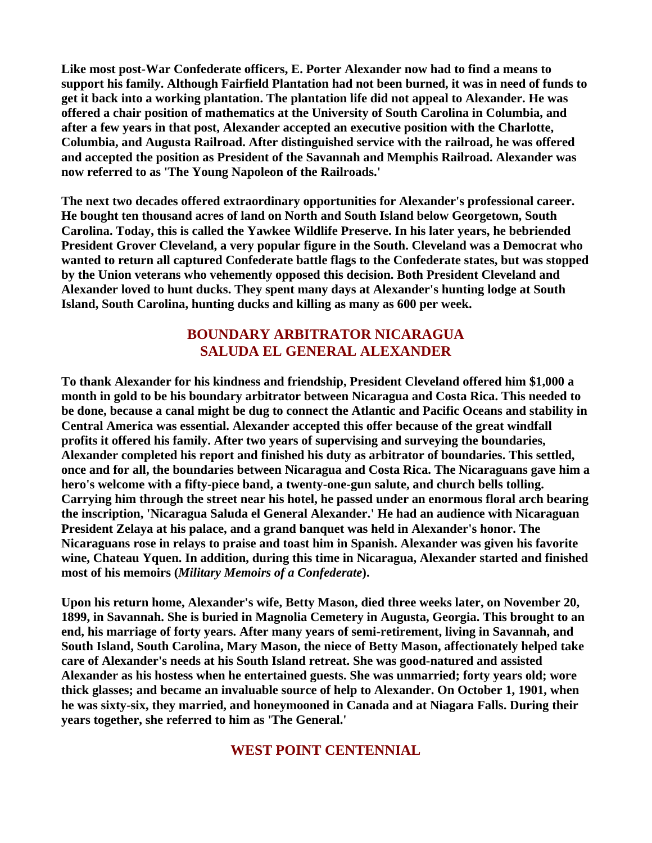**Like most post-War Confederate officers, E. Porter Alexander now had to find a means to support his family. Although Fairfield Plantation had not been burned, it was in need of funds to get it back into a working plantation. The plantation life did not appeal to Alexander. He was offered a chair position of mathematics at the University of South Carolina in Columbia, and after a few years in that post, Alexander accepted an executive position with the Charlotte, Columbia, and Augusta Railroad. After distinguished service with the railroad, he was offered and accepted the position as President of the Savannah and Memphis Railroad. Alexander was now referred to as 'The Young Napoleon of the Railroads.'** 

**The next two decades offered extraordinary opportunities for Alexander's professional career. He bought ten thousand acres of land on North and South Island below Georgetown, South Carolina. Today, this is called the Yawkee Wildlife Preserve. In his later years, he bebriended President Grover Cleveland, a very popular figure in the South. Cleveland was a Democrat who wanted to return all captured Confederate battle flags to the Confederate states, but was stopped by the Union veterans who vehemently opposed this decision. Both President Cleveland and Alexander loved to hunt ducks. They spent many days at Alexander's hunting lodge at South Island, South Carolina, hunting ducks and killing as many as 600 per week.** 

#### **BOUNDARY ARBITRATOR NICARAGUA SALUDA EL GENERAL ALEXANDER**

**To thank Alexander for his kindness and friendship, President Cleveland offered him \$1,000 a month in gold to be his boundary arbitrator between Nicaragua and Costa Rica. This needed to be done, because a canal might be dug to connect the Atlantic and Pacific Oceans and stability in Central America was essential. Alexander accepted this offer because of the great windfall profits it offered his family. After two years of supervising and surveying the boundaries, Alexander completed his report and finished his duty as arbitrator of boundaries. This settled, once and for all, the boundaries between Nicaragua and Costa Rica. The Nicaraguans gave him a hero's welcome with a fifty-piece band, a twenty-one-gun salute, and church bells tolling. Carrying him through the street near his hotel, he passed under an enormous floral arch bearing the inscription, 'Nicaragua Saluda el General Alexander.' He had an audience with Nicaraguan President Zelaya at his palace, and a grand banquet was held in Alexander's honor. The Nicaraguans rose in relays to praise and toast him in Spanish. Alexander was given his favorite wine, Chateau Yquen. In addition, during this time in Nicaragua, Alexander started and finished most of his memoirs (***Military Memoirs of a Confederate***).** 

**Upon his return home, Alexander's wife, Betty Mason, died three weeks later, on November 20, 1899, in Savannah. She is buried in Magnolia Cemetery in Augusta, Georgia. This brought to an end, his marriage of forty years. After many years of semi-retirement, living in Savannah, and South Island, South Carolina, Mary Mason, the niece of Betty Mason, affectionately helped take care of Alexander's needs at his South Island retreat. She was good-natured and assisted Alexander as his hostess when he entertained guests. She was unmarried; forty years old; wore thick glasses; and became an invaluable source of help to Alexander. On October 1, 1901, when he was sixty-six, they married, and honeymooned in Canada and at Niagara Falls. During their years together, she referred to him as 'The General.'** 

#### **WEST POINT CENTENNIAL**